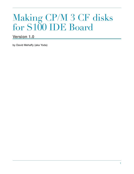# Making CP/M 3 CF disks for S100 IDE Board

## **Version 1.0**

by David Mehaffy (aka Yoda)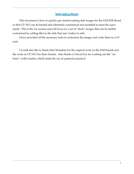# **Introduction**

This document is how to quickly get started making disk images for the S100 IDE Board so that CP/M 3 can be booted and ultimately customized and modified to meet the users needs. This is the 1st version and will focus on a set of "stock" images that can be further customized by adding files to the disk that user wishes to add.

I have provided all the necessary tools to customize the images and write them to a CF card.

I would also like to thank John Monahan for the original work on the S100 boards and the work on CP/M 3 for these boards. Also thanks to David Fry for working out the "noholes" wrlba routine which made the use of cpmtools practical.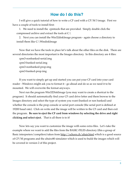### **How do I do this?**

I will give a quick tutorial of how to write a CF card with a CP/M 3 image. First we have a couple of tools to install first:

1. We need to install the cpmtools that are provided. Simply double click the compressed archive and extract the tools at  $C:\mathcal{C}$ 

2. Next you can install the Win32diskImage program - again choose a directory to install them like C:\WindiskImage

Now that we have the tools in place let's talk about the other files on the disk. There are several directories the most important is the Images directory. In this directory are 4 files:

cpm3-nonbanked-serial.img cpm3-banked-serial.img cpm3-nonbanked-prop.img cpm3-banked-prop.img

If you want to simply get up and started you can put your CF card into your card reader - Windows might ask you to format it - go ahead and do so as we need it to be mounted. We will overwrite the format anyways.

Next run the program Win32DiskImage (you may want to create a shortcut to the program). It should automatically find your CF card drive letter and them browse to the Images directory and select the type of system you want (banked or non banked) and whether the console is the prop console or serial port console (the serial port is defined at 19200 baud rate). Click on write and the image will be written to the CF card and then exit the program. **Be sure to eject the CF card from windows by selecting the drive and right clicking and select eject.** That is all there is to it!

Now lets say you want to customize the image with some extra files. Let's take the example where we want to add the files from the BASIC-FILES directory (this a group of Basic interpreters/compilers) taken from<http://schorn.ch/altair.html>which is a good source of CP/M programs and the altairz80 simulator which is used to build the images which will be covered in version 2 of this project.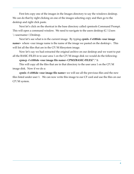First lets copy one of the images in the Images directory to say the windows desktop. We can do that by right clicking on one of the images selecting copy and then go to the desktop and right click paste.

Next let's click on the shortcut in the base directory called cpmtools Command Prompt. This will open a command window. We need to navigate to the users desktop  $(C:\text{Users}$ \<username>\Desktop.

Next let's see what is in the current image. By typing **cpmls -f s100ide <our image name>** where <our image name is the name of the image we pasted on the desktop>. This will list all the files that are in the CP/M filesystem image.

Now let's say we had extracted the original archive on our desktop and we want to put all the BASIC-FILES in to user area 1 on the CP/M image disk we would do the following:

#### **cpmcp -f s100ide <our image file name> CPM3/BASIC-FILES/\*.\* 1:**

This will copy all the files that are in that directory to the user area 1 on the CP/M image disk. Now if we do a:

**cpmls -f s100ide <our image file name>** we will see all the previous files and the new files listed under user 1. We can now write this image to our CF card and use the files on our CP/M system.